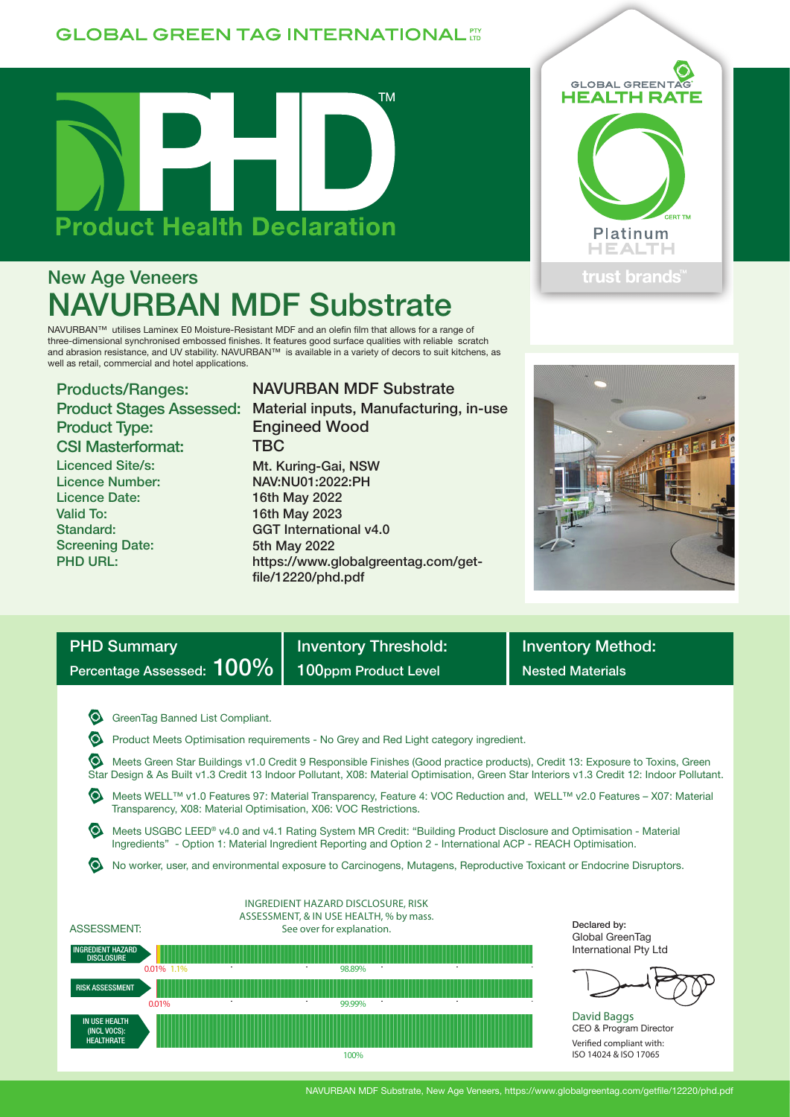## **GLOBAL GREEN TAG INTERNATIONAL FT**



# New Age Veneers NAVURBAN MDF Substrate

NAVURBAN™ utilises Laminex E0 Moisture-Resistant MDF and an olefin film that allows for a range of three-dimensional synchronised embossed finishes. It features good surface qualities with reliable scratch and abrasion resistance, and UV stability. NAVURBAN™ is available in a variety of decors to suit kitchens, as well as retail, commercial and hotel applications.

Products/Ranges: Product Type: CSI Masterformat: Licenced Site/s: Licence Number: Licence Date: Valid To: Standard: Screening Date: PHD URL:

Product Stages Assessed: Material inputs, Manufacturing, in-use NAVURBAN MDF Substrate Engineed Wood **TBC** Mt. Kuring-Gai, NSW NAV:NU01:2022:PH 16th May 2022 16th May 2023 GGT International v4.0 5th May 2022 https://www.globalgreentag.com/getfile/12220/phd.pdf





| <b>PHD Summary</b>           |  |
|------------------------------|--|
| Percentage Assessed: $100\%$ |  |

Inventory Threshold: **Inventory Method:** 100ppm Product Level Nested Materials

**G** GreenTag Banned List Compliant.

Product Meets Optimisation requirements - No Grey and Red Light category ingredient.

 Meets Green Star Buildings v1.0 Credit 9 Responsible Finishes (Good practice products), Credit 13: Exposure to Toxins, Green Star Design & As Built v1.3 Credit 13 Indoor Pollutant, X08: Material Optimisation, Green Star Interiors v1.3 Credit 12: Indoor Pollutant.

 Meets WELL™ v1.0 Features 97: Material Transparency, Feature 4: VOC Reduction and, WELL™ v2.0 Features – X07: Material Transparency, X08: Material Optimisation, X06: VOC Restrictions.

 Meets USGBC LEED® v4.0 and v4.1 Rating System MR Credit: "Building Product Disclosure and Optimisation - Material Ingredients" - Option 1: Material Ingredient Reporting and Option 2 - International ACP - REACH Optimisation.

No worker, user, and environmental exposure to Carcinogens, Mutagens, Reproductive Toxicant or Endocrine Disruptors.



Declared by: Global GreenTag International Pty Ltd



David Baggs CEO & Program Director Verified compliant with: ISO 14024 & ISO 17065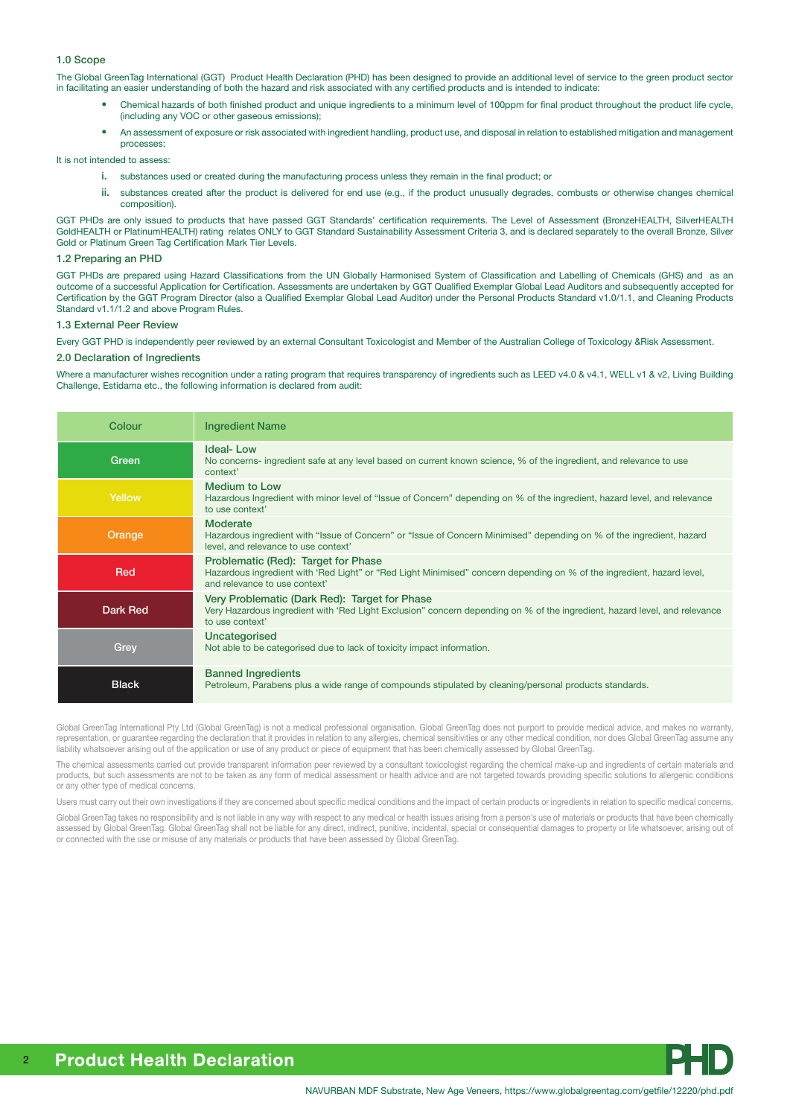#### 1.0 Scope

The Global GreenTag International (GGT) Product Health Declaration (PHD) has been designed to provide an additional level of service to the green product sector in facilitating an easier understanding of both the hazard and risk associated with any certified products and is intended to indicate:

- Chemical hazards of both finished product and unique ingredients to a minimum level of 100ppm for final product throughout the product life cycle, (including any VOC or other gaseous emissions);
- An assessment of exposure or risk associated with ingredient handling, product use, and disposal in relation to established mitigation and management processes;

It is not intended to assess:

- i. substances used or created during the manufacturing process unless they remain in the final product; or
- ii. substances created after the product is delivered for end use (e.g., if the product unusually degrades, combusts or otherwise changes chemical composition).

GGT PHDs are only issued to products that have passed GGT Standards' certification requirements. The Level of Assessment (BronzeHEALTH, SilverHEALTH GoldHEALTH or PlatinumHEALTH) rating relates ONLY to GGT Standard Sustainability Assessment Criteria 3, and is declared separately to the overall Bronze, Silver Gold or Platinum Green Tag Certification Mark Tier Levels.

#### 1.2 Preparing an PHD

GGT PHDs are prepared using Hazard Classifications from the UN Globally Harmonised System of Classification and Labelling of Chemicals (GHS) and as an outcome of a successful Application for Certification. Assessments are undertaken by GGT Qualified Exemplar Global Lead Auditors and subsequently accepted for Certification by the GGT Program Director (also a Qualified Exemplar Global Lead Auditor) under the Personal Products Standard v1.0/1.1, and Cleaning Products Standard v1.1/1.2 and above Program Rules.

#### 1.3 External Peer Review

Every GGT PHD is independently peer reviewed by an external Consultant Toxicologist and Member of the Australian College of Toxicology &Risk Assessment.

### 2.0 Declaration of Ingredients

Where a manufacturer wishes recognition under a rating program that requires transparency of ingredients such as LEED v4.0 & v4.1, WELL v1 & v2, Living Building Challenge, Estidama etc., the following information is declared from audit:

| Colour       | <b>Ingredient Name</b>                                                                                                                                                                         |
|--------------|------------------------------------------------------------------------------------------------------------------------------------------------------------------------------------------------|
| Green        | <b>Ideal-Low</b><br>No concerns- ingredient safe at any level based on current known science, % of the ingredient, and relevance to use<br>context'                                            |
| Yellow       | <b>Medium to Low</b><br>Hazardous Ingredient with minor level of "Issue of Concern" depending on % of the ingredient, hazard level, and relevance<br>to use context'                           |
| Orange       | <b>Moderate</b><br>Hazardous ingredient with "Issue of Concern" or "Issue of Concern Minimised" depending on % of the ingredient, hazard<br>level, and relevance to use context'               |
| Red          | Problematic (Red): Target for Phase<br>Hazardous ingredient with 'Red Light" or "Red Light Minimised" concern depending on % of the ingredient, hazard level,<br>and relevance to use context' |
| Dark Red     | Very Problematic (Dark Red): Target for Phase<br>Very Hazardous ingredient with 'Red Light Exclusion" concern depending on % of the ingredient, hazard level, and relevance<br>to use context' |
| <b>Grey</b>  | Uncategorised<br>Not able to be categorised due to lack of toxicity impact information.                                                                                                        |
| <b>Black</b> | <b>Banned Ingredients</b><br>Petroleum, Parabens plus a wide range of compounds stipulated by cleaning/personal products standards.                                                            |

Global GreenTag International Pty Ltd (Global GreenTag) is not a medical professional organisation. Global GreenTag does not purport to provide medical advice, and makes no warranty, representation, or guarantee regarding the declaration that it provides in relation to any allergies, chemical sensitivities or any other medical condition, nor does Global GreenTag assume any liability whatsoever arising out of the application or use of any product or piece of equipment that has been chemically assessed by Global GreenTag.

The chemical assessments carried out provide transparent information peer reviewed by a consultant toxicologist regarding the chemical make-up and ingredients of certain materials and products, but such assessments are not to be taken as any form of medical assessment or health advice and are not targeted towards providing specific solutions to allergenic conditions or any other type of medical concerns.

Users must carry out their own investigations if they are concerned about specific medical conditions and the impact of certain products or ingredients in relation to specific medical concerns.

Global GreenTag takes no responsibility and is not liable in any way with respect to any medical or health issues arising from a person's use of materials or products that have been chemically assessed by Global GreenTag. Global GreenTag shall not be liable for any direct, indirect, punitive, incidental, special or consequential damages to property or life whatsoever, arising out of or connected with the use or misuse of any materials or products that have been assessed by Global GreenTag.

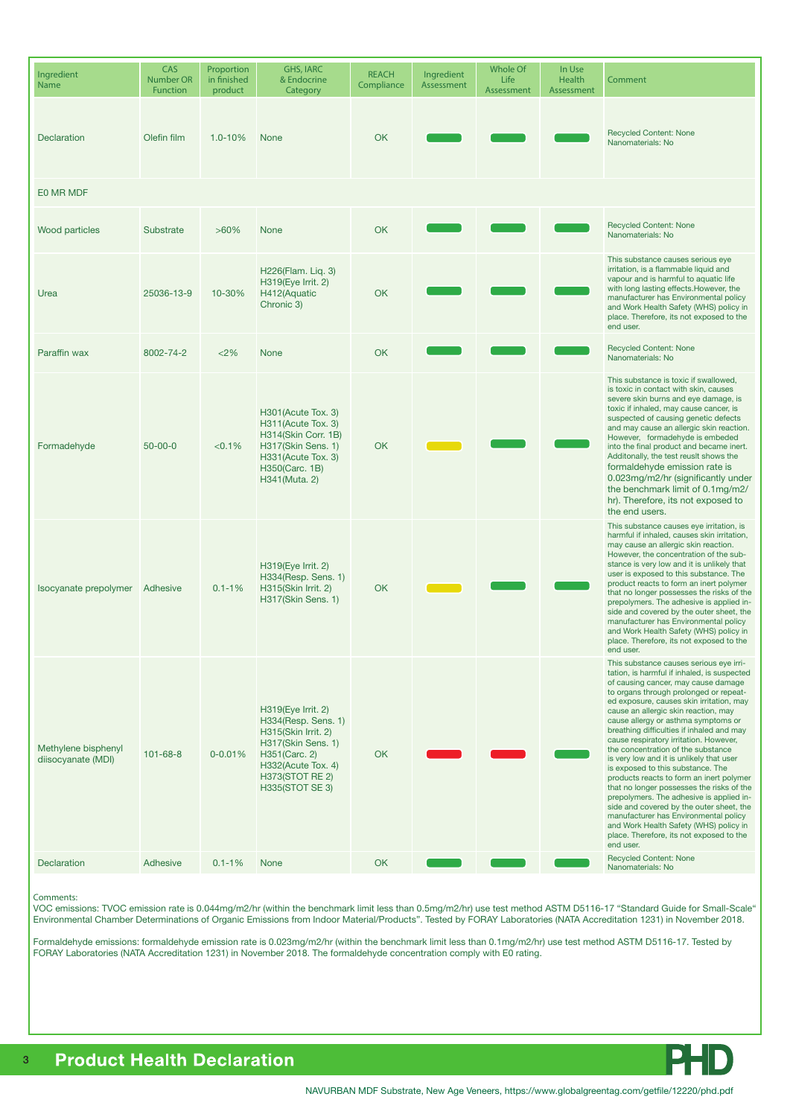| Ingredient<br>Name                        | CAS<br><b>Number OR</b><br><b>Function</b> | Proportion<br>in finished<br>product | <b>GHS, IARC</b><br>& Endocrine<br>Category                                                                                                                                | <b>REACH</b><br>Compliance | Ingredient<br>Assessment | <b>Whole Of</b><br>Life<br>Assessment | In Use<br><b>Health</b><br>Assessment | Comment                                                                                                                                                                                                                                                                                                                                                                                                                                                                                                                                                                                                                                                                                                                                                                                                                                       |  |  |  |
|-------------------------------------------|--------------------------------------------|--------------------------------------|----------------------------------------------------------------------------------------------------------------------------------------------------------------------------|----------------------------|--------------------------|---------------------------------------|---------------------------------------|-----------------------------------------------------------------------------------------------------------------------------------------------------------------------------------------------------------------------------------------------------------------------------------------------------------------------------------------------------------------------------------------------------------------------------------------------------------------------------------------------------------------------------------------------------------------------------------------------------------------------------------------------------------------------------------------------------------------------------------------------------------------------------------------------------------------------------------------------|--|--|--|
| <b>Declaration</b>                        | Olefin film                                | $1.0 - 10%$                          | <b>None</b>                                                                                                                                                                | <b>OK</b>                  |                          |                                       |                                       | <b>Recycled Content: None</b><br>Nanomaterials: No                                                                                                                                                                                                                                                                                                                                                                                                                                                                                                                                                                                                                                                                                                                                                                                            |  |  |  |
| E0 MR MDF                                 |                                            |                                      |                                                                                                                                                                            |                            |                          |                                       |                                       |                                                                                                                                                                                                                                                                                                                                                                                                                                                                                                                                                                                                                                                                                                                                                                                                                                               |  |  |  |
| Wood particles                            | Substrate                                  | $>60\%$                              | <b>None</b>                                                                                                                                                                | <b>OK</b>                  |                          |                                       |                                       | <b>Recycled Content: None</b><br>Nanomaterials: No                                                                                                                                                                                                                                                                                                                                                                                                                                                                                                                                                                                                                                                                                                                                                                                            |  |  |  |
| Urea                                      | 25036-13-9                                 | 10-30%                               | H226(Flam. Liq. 3)<br>H319(Eye Irrit. 2)<br>H412(Aquatic<br>Chronic 3)                                                                                                     | <b>OK</b>                  |                          |                                       |                                       | This substance causes serious eye<br>irritation, is a flammable liquid and<br>vapour and is harmful to aquatic life<br>with long lasting effects. However, the<br>manufacturer has Environmental policy<br>and Work Health Safety (WHS) policy in<br>place. Therefore, its not exposed to the<br>end user.                                                                                                                                                                                                                                                                                                                                                                                                                                                                                                                                    |  |  |  |
| Paraffin wax                              | 8002-74-2                                  | < 2%                                 | <b>None</b>                                                                                                                                                                | <b>OK</b>                  |                          |                                       |                                       | <b>Recycled Content: None</b><br>Nanomaterials: No                                                                                                                                                                                                                                                                                                                                                                                                                                                                                                                                                                                                                                                                                                                                                                                            |  |  |  |
| Formadehyde                               | $50 - 00 - 0$                              | < 0.1%                               | H301 (Acute Tox. 3)<br>H311(Acute Tox. 3)<br>H314(Skin Corr. 1B)<br>H317(Skin Sens. 1)<br>H331 (Acute Tox. 3)<br>H350(Carc. 1B)<br>H341(Muta. 2)                           | <b>OK</b>                  |                          |                                       |                                       | This substance is toxic if swallowed.<br>is toxic in contact with skin, causes<br>severe skin burns and eye damage, is<br>toxic if inhaled, may cause cancer, is<br>suspected of causing genetic defects<br>and may cause an allergic skin reaction.<br>However, formadehyde is embeded<br>into the final product and became inert.<br>Additonally, the test reuslt shows the<br>formaldehyde emission rate is<br>0.023mg/m2/hr (significantly under<br>the benchmark limit of 0.1mg/m2/<br>hr). Therefore, its not exposed to<br>the end users.                                                                                                                                                                                                                                                                                              |  |  |  |
| Isocyanate prepolymer                     | Adhesive                                   | $0.1 - 1%$                           | H319(Eye Irrit. 2)<br>H334(Resp. Sens. 1)<br>H315(Skin Irrit. 2)<br>H317(Skin Sens. 1)                                                                                     | <b>OK</b>                  |                          |                                       |                                       | This substance causes eye irritation, is<br>harmful if inhaled, causes skin irritation,<br>may cause an allergic skin reaction.<br>However, the concentration of the sub-<br>stance is very low and it is unlikely that<br>user is exposed to this substance. The<br>product reacts to form an inert polymer<br>that no longer possesses the risks of the<br>prepolymers. The adhesive is applied in-<br>side and covered by the outer sheet, the<br>manufacturer has Environmental policy<br>and Work Health Safety (WHS) policy in<br>place. Therefore, its not exposed to the<br>end user.                                                                                                                                                                                                                                                 |  |  |  |
| Methylene bisphenyl<br>diisocyanate (MDI) | $101 - 68 - 8$                             | $0 - 0.01%$                          | H319(Eye Irrit. 2)<br>H334(Resp. Sens. 1)<br>H315(Skin Irrit. 2)<br>H317(Skin Sens. 1)<br>H351(Carc. 2)<br>H332(Acute Tox. 4)<br>H373(STOT RE 2)<br><b>H335(STOT SE 3)</b> | <b>OK</b>                  |                          |                                       |                                       | This substance causes serious eye irri-<br>tation, is harmful if inhaled, is suspected<br>of causing cancer, may cause damage<br>to organs through prolonged or repeat-<br>ed exposure, causes skin irritation, may<br>cause an allergic skin reaction, may<br>cause allergy or asthma symptoms or<br>breathing difficulties if inhaled and may<br>cause respiratory irritation. However,<br>the concentration of the substance<br>is very low and it is unlikely that user<br>is exposed to this substance. The<br>products reacts to form an inert polymer<br>that no longer possesses the risks of the<br>prepolymers. The adhesive is applied in-<br>side and covered by the outer sheet, the<br>manufacturer has Environmental policy<br>and Work Health Safety (WHS) policy in<br>place. Therefore, its not exposed to the<br>end user. |  |  |  |
| <b>Declaration</b>                        | Adhesive                                   | $0.1 - 1%$                           | <b>None</b>                                                                                                                                                                | OK                         |                          |                                       |                                       | <b>Recycled Content: None</b><br>Nanomaterials: No                                                                                                                                                                                                                                                                                                                                                                                                                                                                                                                                                                                                                                                                                                                                                                                            |  |  |  |

#### Comments:

VOC emissions: TVOC emission rate is 0.044mg/m2/hr (within the benchmark limit less than 0.5mg/m2/hr) use test method ASTM D5116-17 "Standard Guide for Small-Scale" Environmental Chamber Determinations of Organic Emissions from Indoor Material/Products". Tested by FORAY Laboratories (NATA Accreditation 1231) in November 2018.

Formaldehyde emissions: formaldehyde emission rate is 0.023mg/m2/hr (within the benchmark limit less than 0.1mg/m2/hr) use test method ASTM D5116-17. Tested by FORAY Laboratories (NATA Accreditation 1231) in November 2018. The formaldehyde concentration comply with E0 rating.